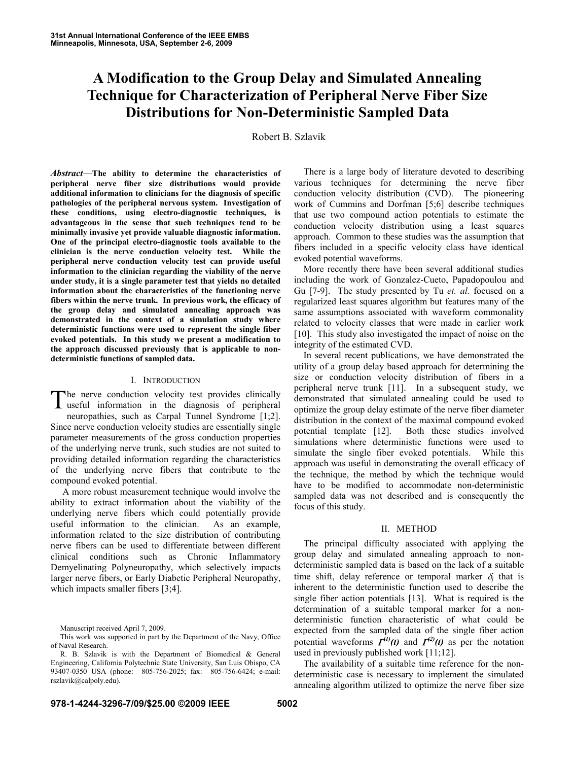# **A Modification to the Group Delay and Simulated Annealing Technique for Characterization of Peripheral Nerve Fiber Size Distributions for Non-Deterministic Sampled Data**

Robert B. Szlavik

*Abstract*—**The ability to determine the characteristics of peripheral nerve fiber size distributions would provide additional information to clinicians for the diagnosis of specific pathologies of the peripheral nervous system. Investigation of these conditions, using electro-diagnostic techniques, is advantageous in the sense that such techniques tend to be minimally invasive yet provide valuable diagnostic information. One of the principal electro-diagnostic tools available to the clinician is the nerve conduction velocity test. While the peripheral nerve conduction velocity test can provide useful information to the clinician regarding the viability of the nerve under study, it is a single parameter test that yields no detailed information about the characteristics of the functioning nerve fibers within the nerve trunk. In previous work, the efficacy of the group delay and simulated annealing approach was demonstrated in the context of a simulation study where deterministic functions were used to represent the single fiber evoked potentials. In this study we present a modification to the approach discussed previously that is applicable to nondeterministic functions of sampled data.** 

### I. INTRODUCTION

The nerve conduction velocity test provides clinically useful information in the diagnosis of peripheral useful information in the diagnosis of peripheral neuropathies, such as Carpal Tunnel Syndrome [1;2]. Since nerve conduction velocity studies are essentially single parameter measurements of the gross conduction properties of the underlying nerve trunk, such studies are not suited to providing detailed information regarding the characteristics of the underlying nerve fibers that contribute to the compound evoked potential.

 A more robust measurement technique would involve the ability to extract information about the viability of the underlying nerve fibers which could potentially provide useful information to the clinician. As an example, information related to the size distribution of contributing nerve fibers can be used to differentiate between different clinical conditions such as Chronic Inflammatory Demyelinating Polyneuropathy, which selectively impacts larger nerve fibers, or Early Diabetic Peripheral Neuropathy, which impacts smaller fibers [3;4].

There is a large body of literature devoted to describing various techniques for determining the nerve fiber conduction velocity distribution (CVD). The pioneering work of Cummins and Dorfman [5;6] describe techniques that use two compound action potentials to estimate the conduction velocity distribution using a least squares approach. Common to these studies was the assumption that fibers included in a specific velocity class have identical evoked potential waveforms.

More recently there have been several additional studies including the work of Gonzalez-Cueto, Papadopoulou and Gu [7-9]. The study presented by Tu *et. al.* focused on a regularized least squares algorithm but features many of the same assumptions associated with waveform commonality related to velocity classes that were made in earlier work [10]. This study also investigated the impact of noise on the integrity of the estimated CVD.

In several recent publications, we have demonstrated the utility of a group delay based approach for determining the size or conduction velocity distribution of fibers in a peripheral nerve trunk [11]. In a subsequent study, we demonstrated that simulated annealing could be used to optimize the group delay estimate of the nerve fiber diameter distribution in the context of the maximal compound evoked potential template [12]. Both these studies involved simulations where deterministic functions were used to simulate the single fiber evoked potentials. While this approach was useful in demonstrating the overall efficacy of the technique, the method by which the technique would have to be modified to accommodate non-deterministic sampled data was not described and is consequently the focus of this study.

## II. METHOD

The principal difficulty associated with applying the group delay and simulated annealing approach to nondeterministic sampled data is based on the lack of a suitable time shift, delay reference or temporal marker  $\delta_i$  that is inherent to the deterministic function used to describe the single fiber action potentials [13]. What is required is the determination of a suitable temporal marker for a nondeterministic function characteristic of what could be expected from the sampled data of the single fiber action potential waveforms  $\mathcal{I}^{(1)}(t)$  and  $\mathcal{I}^{(2)}(t)$  as per the notation used in previously published work [11;12].

The availability of a suitable time reference for the nondeterministic case is necessary to implement the simulated annealing algorithm utilized to optimize the nerve fiber size

Manuscript received April 7, 2009.

This work was supported in part by the Department of the Navy, Office of Naval Research.

R. B. Szlavik is with the Department of Biomedical & General Engineering, California Polytechnic State University, San Luis Obispo, CA 93407-0350 USA (phone: 805-756-2025; fax: 805-756-6424; e-mail: rszlavik@calpoly.edu).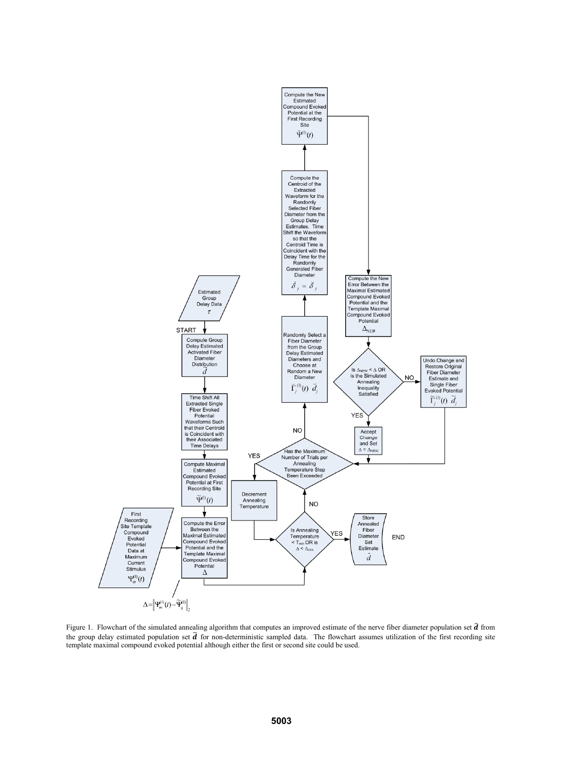

Figure 1. Flowchart of the simulated annealing algorithm that computes an improved estimate of the nerve fiber diameter population set  $\hat{d}$  from the group delay estimated population set  $\tilde{d}$  for non-deterministic sampled data. The flowchart assumes utilization of the first recording site template maximal compound evoked potential although either the first or second site could be used.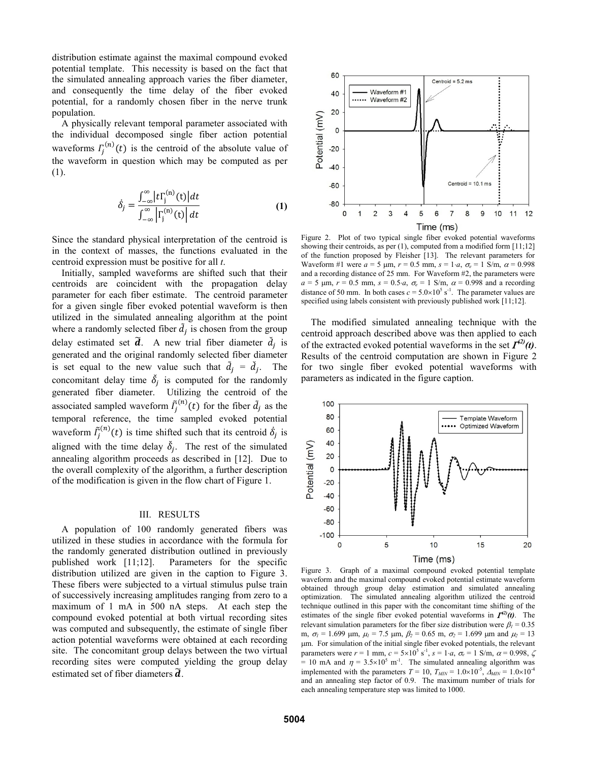distribution estimate against the maximal compound evoked potential template. This necessity is based on the fact that the simulated annealing approach varies the fiber diameter, and consequently the time delay of the fiber evoked potential, for a randomly chosen fiber in the nerve trunk population.

A physically relevant temporal parameter associated with the individual decomposed single fiber action potential waveforms  $\Gamma_j^{(n)}(t)$  is the centroid of the absolute value of the waveform in question which may be computed as per (1).

$$
\dot{\delta}_j = \frac{\int_{-\infty}^{\infty} \left| t \right|_j^{\infty}(t) \left| dt \right|}{\int_{-\infty}^{\infty} \left| \int_{j}^{\infty}(t) \right| dt}
$$
 (1)

Since the standard physical interpretation of the centroid is in the context of masses, the functions evaluated in the centroid expression must be positive for all *t*.

Initially, sampled waveforms are shifted such that their centroids are coincident with the propagation delay parameter for each fiber estimate. The centroid parameter for a given single fiber evoked potential waveform is then utilized in the simulated annealing algorithm at the point where a randomly selected fiber  $\tilde{d}_j$  is chosen from the group delay estimated set  $\tilde{d}$ . A new trial fiber diameter  $d_j$  is generated and the original randomly selected fiber diameter is set equal to the new value such that  $\tilde{d}_j = \check{d}_j$ . The concomitant delay time  $\delta_j$  is computed for the randomly generated fiber diameter. Utilizing the centroid of the associated sampled waveform  $\tilde{I}_j^{(n)}(t)$  for the fiber  $\tilde{d}_j$  as the temporal reference, the time sampled evoked potential waveform  $\tilde{I}_j^{(n)}(t)$  is time shifted such that its centroid  $\dot{\delta}_j$  is aligned with the time delay  $\delta_j$ . The rest of the simulated annealing algorithm proceeds as described in [12]. Due to the overall complexity of the algorithm, a further description of the modification is given in the flow chart of Figure 1.

#### III. RESULTS

A population of 100 randomly generated fibers was utilized in these studies in accordance with the formula for the randomly generated distribution outlined in previously published work [11;12]. Parameters for the specific distribution utilized are given in the caption to Figure 3. These fibers were subjected to a virtual stimulus pulse train of successively increasing amplitudes ranging from zero to a maximum of 1 mA in 500 nA steps. At each step the compound evoked potential at both virtual recording sites was computed and subsequently, the estimate of single fiber action potential waveforms were obtained at each recording site. The concomitant group delays between the two virtual recording sites were computed yielding the group delay estimated set of fiber diameters  $\tilde{d}$ .



Figure 2. Plot of two typical single fiber evoked potential waveforms showing their centroids, as per  $(1)$ , computed from a modified form  $[11;12]$ of the function proposed by Fleisher [13]. The relevant parameters for Waveform #1 were  $a = 5 \mu m$ ,  $r = 0.5 \text{ mm}$ ,  $s = 1 \cdot a$ ,  $\sigma_e = 1 \text{ S/m}$ ,  $\alpha = 0.998$ and a recording distance of 25 mm. For Waveform #2, the parameters were  $a = 5$  µm,  $r = 0.5$  mm,  $s = 0.5 \cdot a$ ,  $\sigma_e = 1$  S/m,  $\alpha = 0.998$  and a recording distance of 50 mm. In both cases  $c = 5.0 \times 10^5$  s<sup>-1</sup>. The parameter values are specified using labels consistent with previously published work [11;12].

The modified simulated annealing technique with the centroid approach described above was then applied to each of the extracted evoked potential waveforms in the set  $\mathcal{I}^{(2)}(t)$ . Results of the centroid computation are shown in Figure 2 for two single fiber evoked potential waveforms with parameters as indicated in the figure caption.



Figure 3. Graph of a maximal compound evoked potential template waveform and the maximal compound evoked potential estimate waveform obtained through group delay estimation and simulated annealing optimization. The simulated annealing algorithm utilized the centroid technique outlined in this paper with the concomitant time shifting of the estimates of the single fiber evoked potential waveforms in  $\mathcal{I}^{(2)}(t)$ . The relevant simulation parameters for the fiber size distribution were  $\beta_1 = 0.35$ m,  $\sigma_l$  = 1.699  $\mu$ m,  $\mu_l$  = 7.5  $\mu$ m,  $\beta_2$  = 0.65 m,  $\sigma_2$  = 1.699  $\mu$ m and  $\mu_2$  = 13 m. For simulation of the initial single fiber evoked potentials, the relevant parameters were  $r = 1$  mm,  $c = 5 \times 10^5$  s<sup>-1</sup>,  $s = 1 \cdot a$ ,  $\sigma_e = 1$  S/m,  $\alpha = 0.998$ ,  $\zeta$ = 10 mA and  $\eta = 3.5 \times 10^5$  m<sup>-1</sup>. The simulated annealing algorithm was implemented with the parameters  $T = 10$ ,  $T_{MIN} = 1.0 \times 10^{-5}$ ,  $\Delta_{MIN} = 1.0 \times 10^{-4}$ and an annealing step factor of 0.9. The maximum number of trials for each annealing temperature step was limited to 1000.